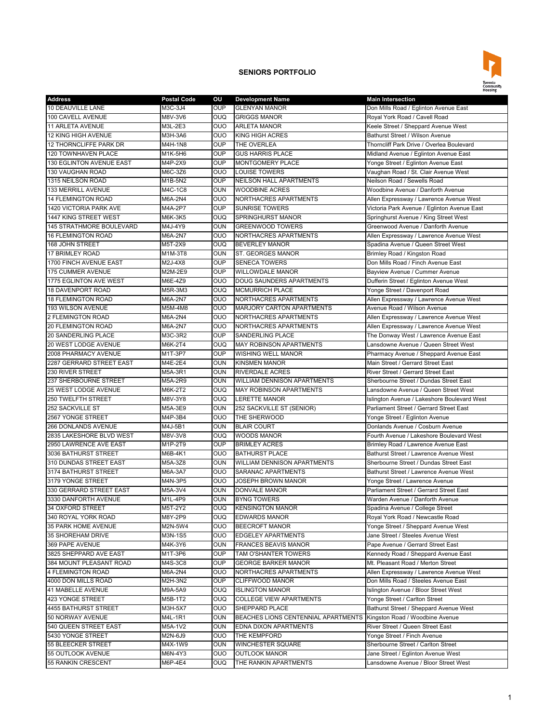

## **SENIORS PORTFOLIO**

| <b>Address</b>                         | <b>Postal Code</b> | OU             | <b>Development Name</b>             | <b>Main Intersection</b>                    |
|----------------------------------------|--------------------|----------------|-------------------------------------|---------------------------------------------|
| 10 DEAUVILLE LANE                      | M3C-3J4            | <b>OUP</b>     | <b>GLENYAN MANOR</b>                | Don Mills Road / Eglinton Avenue East       |
| 100 CAVELL AVENUE                      | M8V-3V6            | <b>OUQ</b>     | <b>GRIGGS MANOR</b>                 | Royal York Road / Cavell Road               |
| <b>11 ARLETA AVENUE</b>                | M3L-2E3            | OUO            | <b>ARLETA MANOR</b>                 | Keele Street / Sheppard Avenue West         |
| 12 KING HIGH AVENUE                    | M3H-3A6            | OUO            | <b>KING HIGH ACRES</b>              | Bathurst Street / Wilson Avenue             |
| 12 THORNCLIFFE PARK DR                 | M4H-1N8            | <b>OUP</b>     | THE OVERLEA                         | Thorncliff Park Drive / Overlea Boulevard   |
| 120 TOWNHAVEN PLACE                    | M1K-5H6            | <b>OUP</b>     | <b>GUS HARRIS PLACE</b>             | Midland Avenue / Eglinton Avenue East       |
| 130 EGLINTON AVENUE EAST               | M4P-2X9            | <b>OUP</b>     | MONTGOMERY PLACE                    | Yonge Street / Eglinton Avenue East         |
| 130 VAUGHAN ROAD                       | M6C-3Z6            | OUO            | <b>LOUISE TOWERS</b>                | Vaughan Road / St. Clair Avenue West        |
| 1315 NEILSON ROAD                      | M1B-5N2            | <b>OUP</b>     | <b>NEILSON HALL APARTMENTS</b>      | Neilson Road / Sewells Road                 |
| 133 MERRILL AVENUE                     | M4C-1C8            | <b>OUN</b>     | <b>WOODBINE ACRES</b>               | Woodbine Avenue / Danforth Avenue           |
| 14 FLEMINGTON ROAD                     | M6A-2N4            | <b>OUO</b>     | NORTHACRES APARTMENTS               | Allen Expressway / Lawrence Avenue West     |
| 1420 VICTORIA PARK AVE                 | M4A-2P7            | <b>OUP</b>     | <b>SUNRISE TOWERS</b>               | Victoria Park Avenue / Eglinton Avenue East |
| 1447 KING STREET WEST                  | M6K-3K5            | <b>OUQ</b>     | SPRINGHURST MANOR                   | Springhurst Avenue / King Street West       |
| <b>145 STRATHMORE BOULEVARD</b>        | M4J-4Y9            | <b>OUN</b>     | <b>GREENWOOD TOWERS</b>             | Greenwood Avenue / Danforth Avenue          |
| <b>16 FLEMINGTON ROAD</b>              | M6A-2N7            | OUO            | NORTHACRES APARTMENTS               | Allen Expressway / Lawrence Avenue West     |
| 168 JOHN STREET                        | M5T-2X9            | <b>OUQ</b>     | <b>BEVERLEY MANOR</b>               | Spadina Avenue / Queen Street West          |
| 17 BRIMLEY ROAD                        | M1M-3T8            | OUN            | ST. GEORGES MANOR                   | Brimley Road / Kingston Road                |
| 1700 FINCH AVENUE EAST                 | M2J-4X8            | <b>OUP</b>     | <b>SENECA TOWERS</b>                | Don Mills Road / Finch Avenue East          |
| 175 CUMMER AVENUE                      | M2M-2E9            | <b>OUP</b>     | <b>WILLOWDALE MANOR</b>             | Bayview Avenue / Cummer Avenue              |
| 1775 EGLINTON AVE WEST                 | M6E-4Z9            | $\overline{O}$ | <b>DOUG SAUNDERS APARTMENTS</b>     | Dufferin Street / Eglinton Avenue West      |
| 18 DAVENPORT ROAD                      | M5R-3M3            | <b>OUQ</b>     | <b>MCMURRICH PLACE</b>              | Yonge Street / Davenport Road               |
| <b>18 FLEMINGTON ROAD</b>              | M6A-2N7            | OUO            | NORTHACRES APARTMENTS               | Allen Expressway / Lawrence Avenue West     |
|                                        |                    | OUO            |                                     | Avenue Road / Wilson Avenue                 |
| 193 WILSON AVENUE<br>2 FLEMINGTON ROAD | M5M-4M8            |                | <b>MARJORY CARTON APARTMENTS</b>    |                                             |
|                                        | M6A-2N4            | <b>OUO</b>     | NORTHACRES APARTMENTS               | Allen Expressway / Lawrence Avenue West     |
| <b>20 FLEMINGTON ROAD</b>              | M6A-2N7            | OUO            | NORTHACRES APARTMENTS               | Allen Expressway / Lawrence Avenue West     |
| <b>20 SANDERLING PLACE</b>             | M3C-3R2            | <b>OUP</b>     | <b>SANDERLING PLACE</b>             | The Donway West / Lawrence Avenue East      |
| 20 WEST LODGE AVENUE                   | M6K-2T4            | <b>OUQ</b>     | <b>MAY ROBINSON APARTMENTS</b>      | Lansdowne Avenue / Queen Street West        |
| 2008 PHARMACY AVENUE                   | M1T-3P7            | <b>OUP</b>     | <b>WISHING WELL MANOR</b>           | Pharmacy Avenue / Sheppard Avenue East      |
| 2287 GERRARD STREET EAST               | M4E-2E4            | <b>OUN</b>     | <b>KINSMEN MANOR</b>                | Main Street / Gerrard Street East           |
| 230 RIVER STREET                       | M5A-3R1            | <b>OUN</b>     | <b>RIVERDALE ACRES</b>              | River Street / Gerrard Street East          |
| 237 SHERBOURNE STREET                  | M5A-2R9            | <b>OUN</b>     | WILLIAM DENNISON APARTMENTS         | Sherbourne Street / Dundas Street East      |
| 25 WEST LODGE AVENUE                   | M6K-2T2            | <b>OUQ</b>     | <b>MAY ROBINSON APARTMENTS</b>      | Lansdowne Avenue / Queen Street West        |
| <b>250 TWELFTH STREET</b>              | M8V-3Y8            | <b>OUQ</b>     | LERETTE MANOR                       | Islington Avenue / Lakeshore Boulevard West |
| 252 SACKVILLE ST                       | M5A-3E9            | OUN            | 252 SACKVILLE ST (SENIOR)           | Parliament Street / Gerrard Street East     |
| 2567 YONGE STREET                      | M4P-3B4            | OUO            | THE SHERWOOD                        | Yonge Street / Eglinton Avenue              |
| 266 DONLANDS AVENUE                    | M4J-5B1            | <b>OUN</b>     | <b>BLAIR COURT</b>                  | Donlands Avenue / Cosburn Avenue            |
| 2835 LAKESHORE BLVD WEST               | M8V-3V8            | OUQ            | <b>WOODS MANOR</b>                  | Fourth Avenue / Lakeshore Boulevard West    |
| 2950 LAWRENCE AVE EAST                 | M1P-2T9            | <b>OUP</b>     | <b>BRIMLEY ACRES</b>                | Brimley Road / Lawrence Avenue East         |
| 3036 BATHURST STREET                   | M6B-4K1            | <b>OUO</b>     | <b>BATHURST PLACE</b>               | Bathurst Street / Lawrence Avenue West      |
| 310 DUNDAS STREET EAST                 | M5A-3Z8            | <b>OUN</b>     | WILLIAM DENNISON APARTMENTS         | Sherbourne Street / Dundas Street East      |
| 3174 BATHURST STREET                   | M6A-3A7            | OUO            | <b>SARANAC APARTMENTS</b>           | Bathurst Street / Lawrence Avenue West      |
| 3179 YONGE STREET                      | M4N-3P5            | <b>OUO</b>     | <b>JOSEPH BROWN MANOR</b>           | Yonge Street / Lawrence Avenue              |
| 330 GERRARD STREET EAST                | M5A-3V4            | OUN            | <b>DONVALE MANOR</b>                | Parliament Street / Gerrard Street East     |
| 3330 DANFORTH AVENUE                   | M1L-4P9            | <b>OUN</b>     | <b>BYNG TOWERS</b>                  | Warden Avenue / Danforth Avenue             |
| 34 OXFORD STREET                       | M5T-2Y2            | <b>OUQ</b>     | <b>KENSINGTON MANOR</b>             | Spadina Avenue / College Street             |
| 340 ROYAL YORK ROAD                    | M8Y-2P9            | <b>OUQ</b>     | <b>EDWARDS MANOR</b>                | Royal York Road / Newcastle Road            |
| 35 PARK HOME AVENUE                    | M2N-5W4            | OUO            | <b>BEECROFT MANOR</b>               | Yonge Street / Sheppard Avenue West         |
| 35 SHOREHAM DRIVE                      | M3N-1S5            | OUO            | <b>EDGELEY APARTMENTS</b>           | Jane Street / Steeles Avenue West           |
| 369 PAPE AVENUE                        | M4K-3Y6            | <b>OUN</b>     | <b>FRANCES BEAVIS MANOR</b>         | Pape Avenue / Gerrard Street East           |
| 3825 SHEPPARD AVE EAST                 | M1T-3P6            | <b>OUP</b>     | TAM O'SHANTER TOWERS                | Kennedy Road / Sheppard Avenue East         |
| 384 MOUNT PLEASANT ROAD                | M4S-3C8            | <b>OUP</b>     | <b>GEORGE BARKER MANOR</b>          | Mt. Pleasant Road / Merton Street           |
| 4 FLEMINGTON ROAD                      | M6A-2N4            | OUO            | NORTHACRES APARTMENTS               | Allen Expressway / Lawrence Avenue West     |
| 4000 DON MILLS ROAD                    | M2H-3N2            | <b>OUP</b>     | CLIFFWOOD MANOR                     | Don Mills Road / Steeles Avenue East        |
| 41 MABELLE AVENUE                      | M9A-5A9            | <b>OUQ</b>     | <b>ISLINGTON MANOR</b>              | Islington Avenue / Bloor Street West        |
| 423 YONGE STREET                       | M5B-1T2            | <b>OUQ</b>     | <b>COLLEGE VIEW APARTMENTS</b>      | Yonge Street / Carlton Street               |
| 4455 BATHURST STREET                   | M3H-5X7            | <b>OUO</b>     | SHEPPARD PLACE                      | Bathurst Street / Sheppard Avenue West      |
| 50 NORWAY AVENUE                       | M4L-1R1            | <b>OUN</b>     | BEACHES LIONS CENTENNIAL APARTMENTS | Kingston Road / Woodbine Avenue             |
| 540 QUEEN STREET EAST                  | M5A-1V2            | OUN            | EDNA DIXON APARTMENTS               | River Street / Queen Street East            |
| 5430 YONGE STREET                      | M2N-6J9            | OUO            | THE KEMPFORD                        | Yonge Street / Finch Avenue                 |
| 55 BLEECKER STREET                     | M4X-1W9            | OUN            | WINCHESTER SQUARE                   | Sherbourne Street / Carlton Street          |
| 55 OUTLOOK AVENUE                      | M6N-4Y3            | OUO            | <b>OUTLOOK MANOR</b>                | Jane Street / Eglinton Avenue West          |
| 55 RANKIN CRESCENT                     | M6P-4E4            | <b>OUQ</b>     | THE RANKIN APARTMENTS               | ansdowne Avenue / Bloor Street West         |
|                                        |                    |                |                                     |                                             |